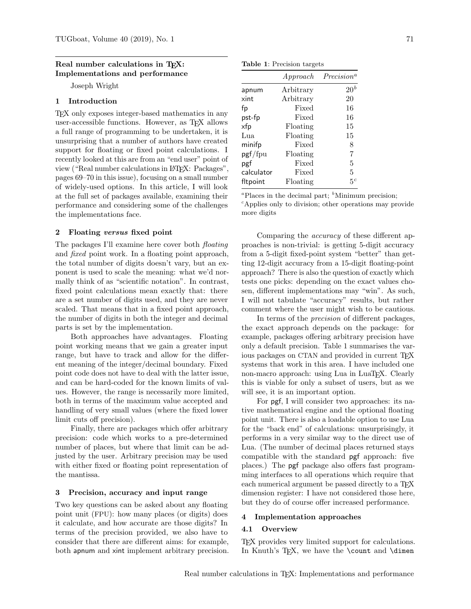## Real number calculations in T<sub>F</sub>X: Implementations and performance

Joseph Wright

## 1 Introduction

TEX only exposes integer-based mathematics in any user-accessible functions. However, as TEX allows a full range of programming to be undertaken, it is unsurprising that a number of authors have created support for floating or fixed point calculations. I recently looked at this are from an "end user" point of view ("Real number calculations in LATEX: Packages", pages 69–70 in this issue), focusing on a small number of widely-used options. In this article, I will look at the full set of packages available, examining their performance and considering some of the challenges the implementations face.

## 2 Floating versus fixed point

The packages I'll examine here cover both floating and fixed point work. In a floating point approach, the total number of digits doesn't vary, but an exponent is used to scale the meaning: what we'd normally think of as "scientific notation". In contrast, fixed point calculations mean exactly that: there are a set number of digits used, and they are never scaled. That means that in a fixed point approach, the number of digits in both the integer and decimal parts is set by the implementation.

Both approaches have advantages. Floating point working means that we gain a greater input range, but have to track and allow for the different meaning of the integer/decimal boundary. Fixed point code does not have to deal with the latter issue, and can be hard-coded for the known limits of values. However, the range is necessarily more limited, both in terms of the maximum value accepted and handling of very small values (where the fixed lower limit cuts off precision).

Finally, there are packages which offer arbitrary precision: code which works to a pre-determined number of places, but where that limit can be adjusted by the user. Arbitrary precision may be used with either fixed or floating point representation of the mantissa.

### 3 Precision, accuracy and input range

Two key questions can be asked about any floating point unit (FPU): how many places (or digits) does it calculate, and how accurate are those digits? In terms of the precision provided, we also have to consider that there are different aims: for example, both apnum and xint implement arbitrary precision.

Table 1: Precision targets

|            | Approach  | Precision <sup>a</sup> |
|------------|-----------|------------------------|
| apnum      | Arbitrary | $20^{\it b}$           |
| xint       | Arbitrary | 20                     |
| fp         | Fixed     | 16                     |
| pst-fp     | Fixed     | 16                     |
| xfp        | Floating  | 15                     |
| Lua        | Floating  | 15                     |
| minifp     | Fixed     | 8                      |
| pgf/fpu    | Floating  | 7                      |
| pgf        | Fixed     | 5                      |
| calculator | Fixed     | 5                      |
| fltpoint   | Floating  | $5^c$                  |

<sup>a</sup>Places in the decimal part;  $\delta$ Minimum precision;  $\epsilon$ Applies only to division; other operations may provide more digits

Comparing the accuracy of these different approaches is non-trivial: is getting 5-digit accuracy from a 5-digit fixed-point system "better" than getting 12-digit accuracy from a 15-digit floating-point approach? There is also the question of exactly which tests one picks: depending on the exact values chosen, different implementations may "win". As such, I will not tabulate "accuracy" results, but rather comment where the user might wish to be cautious.

In terms of the *precision* of different packages. the exact approach depends on the package: for example, packages offering arbitrary precision have only a default precision. Table 1 summarises the various packages on CTAN and provided in current TFX systems that work in this area. I have included one non-macro approach: using Lua in LuaT<sub>EX</sub>. Clearly this is viable for only a subset of users, but as we will see, it is an important option.

For pgf, I will consider two approaches: its native mathematical engine and the optional floating point unit. There is also a loadable option to use Lua for the "back end" of calculations: unsurprisingly, it performs in a very similar way to the direct use of Lua. (The number of decimal places returned stays compatible with the standard pgf approach: five places.) The pgf package also offers fast programming interfaces to all operations which require that each numerical argument be passed directly to a T<sub>E</sub>X dimension register: I have not considered those here, but they do of course offer increased performance.

### 4 Implementation approaches

### 4.1 Overview

T<sub>EX</sub> provides very limited support for calculations. In Knuth's T<sub>F</sub>X, we have the \count and \dimen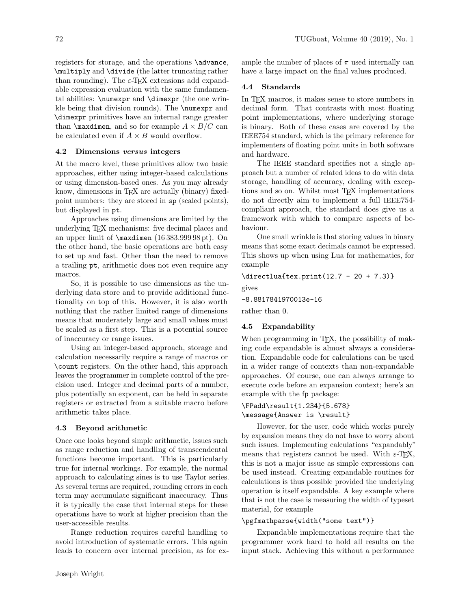registers for storage, and the operations \advance, \multiply and \divide (the latter truncating rather than rounding). The  $\varepsilon$ -TEX extensions add expandable expression evaluation with the same fundamental abilities: \numexpr and \dimexpr (the one wrinkle being that division rounds). The \numexpr and \dimexpr primitives have an internal range greater than  $\max$ dimen, and so for example  $A \times B/C$  can be calculated even if  $A \times B$  would overflow.

## 4.2 Dimensions versus integers

At the macro level, these primitives allow two basic approaches, either using integer-based calculations or using dimension-based ones. As you may already know, dimensions in T<sub>E</sub>X are actually (binary) fixedpoint numbers: they are stored in sp (scaled points), but displayed in pt.

Approaches using dimensions are limited by the underlying TEX mechanisms: five decimal places and an upper limit of \maxdimen (16 383.999 98 pt). On the other hand, the basic operations are both easy to set up and fast. Other than the need to remove a trailing pt, arithmetic does not even require any macros.

So, it is possible to use dimensions as the underlying data store and to provide additional functionality on top of this. However, it is also worth nothing that the rather limited range of dimensions means that moderately large and small values must be scaled as a first step. This is a potential source of inaccuracy or range issues.

Using an integer-based approach, storage and calculation necessarily require a range of macros or \count registers. On the other hand, this approach leaves the programmer in complete control of the precision used. Integer and decimal parts of a number, plus potentially an exponent, can be held in separate registers or extracted from a suitable macro before arithmetic takes place.

### 4.3 Beyond arithmetic

Once one looks beyond simple arithmetic, issues such as range reduction and handling of transcendental functions become important. This is particularly true for internal workings. For example, the normal approach to calculating sines is to use Taylor series. As several terms are required, rounding errors in each term may accumulate significant inaccuracy. Thus it is typically the case that internal steps for these operations have to work at higher precision than the user-accessible results.

Range reduction requires careful handling to avoid introduction of systematic errors. This again leads to concern over internal precision, as for example the number of places of  $\pi$  used internally can have a large impact on the final values produced.

## 4.4 Standards

In TEX macros, it makes sense to store numbers in decimal form. That contrasts with most floating point implementations, where underlying storage is binary. Both of these cases are covered by the IEEE754 standard, which is the primary reference for implementers of floating point units in both software and hardware.

The IEEE standard specifies not a single approach but a number of related ideas to do with data storage, handling of accuracy, dealing with exceptions and so on. Whilst most TEX implementations do not directly aim to implement a full IEEE754 compliant approach, the standard does give us a framework with which to compare aspects of behaviour.

One small wrinkle is that storing values in binary means that some exact decimals cannot be expressed. This shows up when using Lua for mathematics, for example

\directlua{tex.print(12.7 - 20 + 7.3)}

gives

-8.8817841970013e-16

rather than 0.

### 4.5 Expandability

When programming in T<sub>E</sub>X, the possibility of making code expandable is almost always a consideration. Expandable code for calculations can be used in a wider range of contexts than non-expandable approaches. Of course, one can always arrange to execute code before an expansion context; here's an example with the fp package:

# \FPadd\result{1.234}{5.678} \message{Answer is \result}

However, for the user, code which works purely by expansion means they do not have to worry about such issues. Implementing calculations "expandably" means that registers cannot be used. With  $\varepsilon$ -T<sub>F</sub>X, this is not a major issue as simple expressions can be used instead. Creating expandable routines for calculations is thus possible provided the underlying operation is itself expandable. A key example where that is not the case is measuring the width of typeset material, for example

## \pgfmathparse{width("some text")}

Expandable implementations require that the programmer work hard to hold all results on the input stack. Achieving this without a performance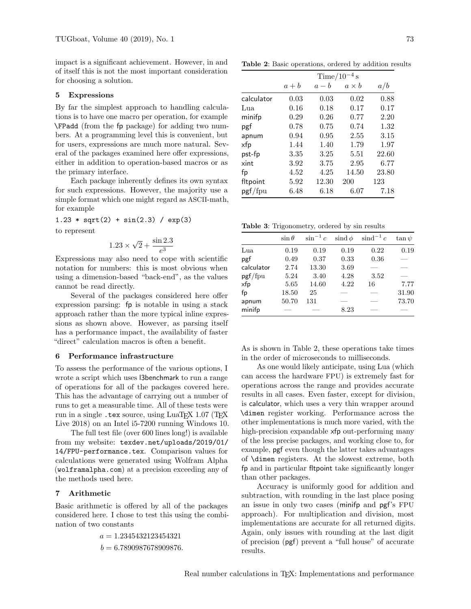impact is a significant achievement. However, in and of itself this is not the most important consideration for choosing a solution.

### 5 Expressions

By far the simplest approach to handling calculations is to have one macro per operation, for example \FPadd (from the fp package) for adding two numbers. At a programming level this is convenient, but for users, expressions are much more natural. Several of the packages examined here offer expressions, either in addition to operation-based macros or as the primary interface.

Each package inherently defines its own syntax for such expressions. However, the majority use a simple format which one might regard as ASCII-math, for example

$$
1.23 * sqrt(2) + sin(2.3) / exp(3)
$$

to represent

$$
1.23 \times \sqrt{2} + \frac{\sin 2.3}{e^3}
$$

Expressions may also need to cope with scientific notation for numbers: this is most obvious when using a dimension-based "back-end", as the values cannot be read directly.

Several of the packages considered here offer expression parsing: fp is notable in using a stack approach rather than the more typical inline expressions as shown above. However, as parsing itself has a performance impact, the availability of faster "direct" calculation macros is often a benefit.

### 6 Performance infrastructure

To assess the performance of the various options, I wrote a script which uses l3benchmark to run a range of operations for all of the packages covered here. This has the advantage of carrying out a number of runs to get a measurable time. All of these tests were run in a single .tex source, using LuaTEX 1.07 (TEX Live 2018) on an Intel i5-7200 running Windows 10.

The full test file (over 600 lines long!) is available from my website: texdev.net/uploads/2019/01/ 14/FPU-performance.tex. Comparison values for calculations were generated using Wolfram Alpha (wolframalpha.com) at a precision exceeding any of the methods used here.

## 7 Arithmetic

Basic arithmetic is offered by all of the packages considered here. I chose to test this using the combination of two constants

> $a = 1.2345432123454321$  $b = 6.7890987678909876.$

Table 2: Basic operations, ordered by addition results

|            | Time/ $10^{-4}$ s |       |              |       |  |  |
|------------|-------------------|-------|--------------|-------|--|--|
|            | $a + b$           | $a-b$ | $a \times b$ | a/b   |  |  |
| calculator | 0.03              | 0.03  | 0.02         | 0.88  |  |  |
| Lua        | 0.16              | 0.18  | 0.17         | 0.17  |  |  |
| minifp     | 0.29              | 0.26  | 0.77         | 2.20  |  |  |
| pgf        | 0.78              | 0.75  | 0.74         | 1.32  |  |  |
| apnum      | 0.94              | 0.95  | 2.55         | 3.15  |  |  |
| xfp        | 1.44              | 1.40  | 1.79         | 1.97  |  |  |
| pst-fp     | 3.35              | 3.25  | 5.51         | 22.60 |  |  |
| xint       | 3.92              | 3.75  | 2.95         | 6.77  |  |  |
| fp         | 4.52              | 4.25  | 14.50        | 23.80 |  |  |
| fltpoint   | 5.92              | 12.30 | 200          | 123   |  |  |
| pgf/fpu    | 6.48              | 6.18  | 6.07         | 7.18  |  |  |

Table 3: Trigonometry, ordered by sin results

|            | $\sin \theta$ | $\sin^{-1} c$ | sind $\phi$ | $\sinh^{-1} c$ | $\tan \psi$              |
|------------|---------------|---------------|-------------|----------------|--------------------------|
| Lua        | 0.19          | 0.19          | 0.19        | 0.22           | 0.19                     |
| pgf        | 0.49          | 0.37          | 0.33        | 0.36           |                          |
| calculator | 2.74          | 13.30         | 3.69        |                | $\overline{\phantom{a}}$ |
| pgf/fpu    | 5.24          | 3.40          | 4.28        | 3.52           |                          |
| xfp        | 5.65          | 14.60         | 4.22        | 16             | 7.77                     |
| fp         | 18.50         | 25            |             |                | 31.90                    |
| apnum      | 50.70         | 131           |             |                | 73.70                    |
| minifp     |               |               | 8.23        |                |                          |

As is shown in Table 2, these operations take times in the order of microseconds to milliseconds.

As one would likely anticipate, using Lua (which can access the hardware FPU) is extremely fast for operations across the range and provides accurate results in all cases. Even faster, except for division, is calculator, which uses a very thin wrapper around \dimen register working. Performance across the other implementations is much more varied, with the high-precision expandable xfp out-performing many of the less precise packages, and working close to, for example, pgf even though the latter takes advantages of \dimen registers. At the slowest extreme, both fp and in particular fltpoint take significantly longer than other packages.

Accuracy is uniformly good for addition and subtraction, with rounding in the last place posing an issue in only two cases (minifp and pgf's FPU approach). For multiplication and division, most implementations are accurate for all returned digits. Again, only issues with rounding at the last digit of precision (pgf) prevent a "full house" of accurate results.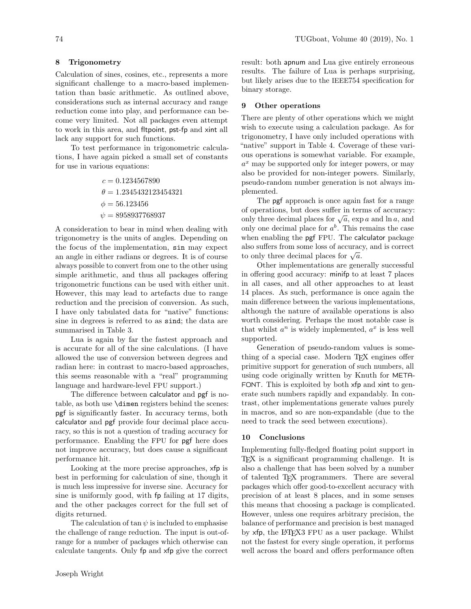## 8 Trigonometry

Calculation of sines, cosines, etc., represents a more significant challenge to a macro-based implementation than basic arithmetic. As outlined above, considerations such as internal accuracy and range reduction come into play, and performance can become very limited. Not all packages even attempt to work in this area, and fltpoint, pst-fp and xint all lack any support for such functions.

To test performance in trigonometric calculations, I have again picked a small set of constants for use in various equations:

$$
c = 0.1234567890
$$
  
\n
$$
\theta = 1.2345432123454321
$$
  
\n
$$
\phi = 56.123456
$$
  
\n
$$
\psi = 8958937768937
$$

A consideration to bear in mind when dealing with trigonometry is the units of angles. Depending on the focus of the implementation, sin may expect an angle in either radians or degrees. It is of course always possible to convert from one to the other using simple arithmetic, and thus all packages offering trigonometric functions can be used with either unit. However, this may lead to artefacts due to range reduction and the precision of conversion. As such, I have only tabulated data for "native" functions: sine in degrees is referred to as sind; the data are summarised in Table 3.

Lua is again by far the fastest approach and is accurate for all of the sine calculations. (I have allowed the use of conversion between degrees and radian here: in contrast to macro-based approaches, this seems reasonable with a "real" programming language and hardware-level FPU support.)

The difference between calculator and pgf is notable, as both use \dimen registers behind the scenes: pgf is significantly faster. In accuracy terms, both calculator and pgf provide four decimal place accuracy, so this is not a question of trading accuracy for performance. Enabling the FPU for pgf here does not improve accuracy, but does cause a significant performance hit.

Looking at the more precise approaches, xfp is best in performing for calculation of sine, though it is much less impressive for inverse sine. Accuracy for sine is uniformly good, with fp failing at 17 digits, and the other packages correct for the full set of digits returned.

The calculation of tan  $\psi$  is included to emphasise the challenge of range reduction. The input is out-ofrange for a number of packages which otherwise can calculate tangents. Only fp and xfp give the correct

### 9 Other operations

There are plenty of other operations which we might wish to execute using a calculation package. As for trigonometry, I have only included operations with "native" support in Table 4. Coverage of these various operations is somewhat variable. For example,  $a<sup>x</sup>$  may be supported only for integer powers, or may also be provided for non-integer powers. Similarly, pseudo-random number generation is not always implemented.

The pgf approach is once again fast for a range of operations, but does suffer in terms of accuracy: on operations, but does suffer in terms of accuracy:<br>only three decimal places for  $\sqrt{a}$ , exp a and ln a, and only one decimal place for  $a^b$ . This remains the case when enabling the pgf FPU. The calculator package also suffers from some loss of accuracy, and is correct also sulfers from some loss of accuractor only three decimal places for  $\sqrt{a}$ .

Other implementations are generally successful in offering good accuracy: minifp to at least 7 places in all cases, and all other approaches to at least 14 places. As such, performance is once again the main difference between the various implementations, although the nature of available operations is also worth considering. Perhaps the most notable case is that whilst  $a^n$  is widely implemented,  $a^x$  is less well supported.

Generation of pseudo-random values is something of a special case. Modern T<sub>F</sub>X engines offer primitive support for generation of such numbers, all using code originally written by Knuth for META-FONT. This is exploited by both xfp and xint to generate such numbers rapidly and expandably. In contrast, other implementations generate values purely in macros, and so are non-expandable (due to the need to track the seed between executions).

#### 10 Conclusions

Implementing fully-fledged floating point support in TEX is a significant programming challenge. It is also a challenge that has been solved by a number of talented TEX programmers. There are several packages which offer good-to-excellent accuracy with precision of at least 8 places, and in some senses this means that choosing a package is complicated. However, unless one requires arbitrary precision, the balance of performance and precision is best managed by xfp, the LATEX3 FPU as a user package. Whilst not the fastest for every single operation, it performs well across the board and offers performance often